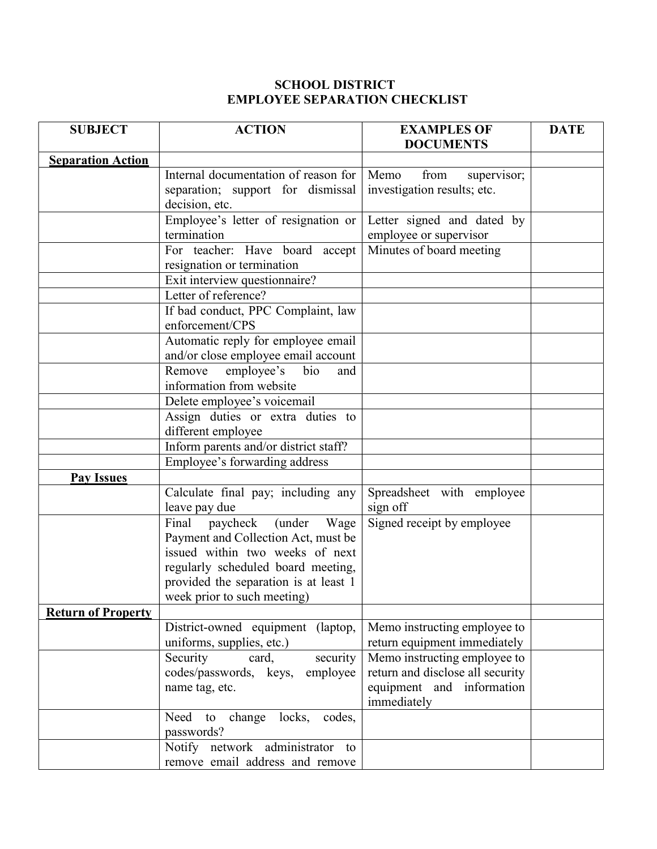## SCHOOL DISTRICT EMPLOYEE SEPARATION CHECKLIST

| <b>SUBJECT</b>            | <b>ACTION</b>                                         | <b>EXAMPLES OF</b>                       | <b>DATE</b> |
|---------------------------|-------------------------------------------------------|------------------------------------------|-------------|
|                           |                                                       | <b>DOCUMENTS</b>                         |             |
| <b>Separation Action</b>  |                                                       |                                          |             |
|                           | Internal documentation of reason for                  | Memo<br>from<br>supervisor;              |             |
|                           | separation; support for dismissal                     | investigation results; etc.              |             |
|                           | decision, etc.                                        |                                          |             |
|                           | Employee's letter of resignation or<br>termination    | Letter signed and dated by               |             |
|                           |                                                       | employee or supervisor                   |             |
|                           | For teacher: Have board accept                        | Minutes of board meeting                 |             |
|                           | resignation or termination                            |                                          |             |
|                           | Exit interview questionnaire?<br>Letter of reference? |                                          |             |
|                           |                                                       |                                          |             |
|                           | If bad conduct, PPC Complaint, law<br>enforcement/CPS |                                          |             |
|                           | Automatic reply for employee email                    |                                          |             |
|                           | and/or close employee email account                   |                                          |             |
|                           | Remove<br>employee's<br>bio<br>and                    |                                          |             |
|                           | information from website                              |                                          |             |
|                           | Delete employee's voicemail                           |                                          |             |
|                           | Assign duties or extra duties to                      |                                          |             |
|                           | different employee                                    |                                          |             |
|                           | Inform parents and/or district staff?                 |                                          |             |
|                           | Employee's forwarding address                         |                                          |             |
| <b>Pay Issues</b>         |                                                       |                                          |             |
|                           | Calculate final pay; including any                    | Spreadsheet with employee                |             |
|                           | leave pay due                                         | sign off                                 |             |
|                           | Final<br>paycheck (under Wage                         | Signed receipt by employee               |             |
|                           | Payment and Collection Act, must be                   |                                          |             |
|                           | issued within two weeks of next                       |                                          |             |
|                           | regularly scheduled board meeting,                    |                                          |             |
|                           | provided the separation is at least 1                 |                                          |             |
|                           | week prior to such meeting)                           |                                          |             |
| <b>Return of Property</b> |                                                       |                                          |             |
|                           | District-owned equipment (laptop,                     | Memo instructing employee to             |             |
|                           | uniforms, supplies, etc.)                             | return equipment immediately             |             |
|                           | Security<br>card,<br>security                         | Memo instructing employee to             |             |
|                           | codes/passwords, keys,<br>employee                    | return and disclose all security         |             |
|                           | name tag, etc.                                        | equipment and information<br>immediately |             |
|                           | change<br>locks,<br>codes,<br>Need<br>to              |                                          |             |
|                           | passwords?                                            |                                          |             |
|                           | Notify network administrator<br>to                    |                                          |             |
|                           | remove email address and remove                       |                                          |             |